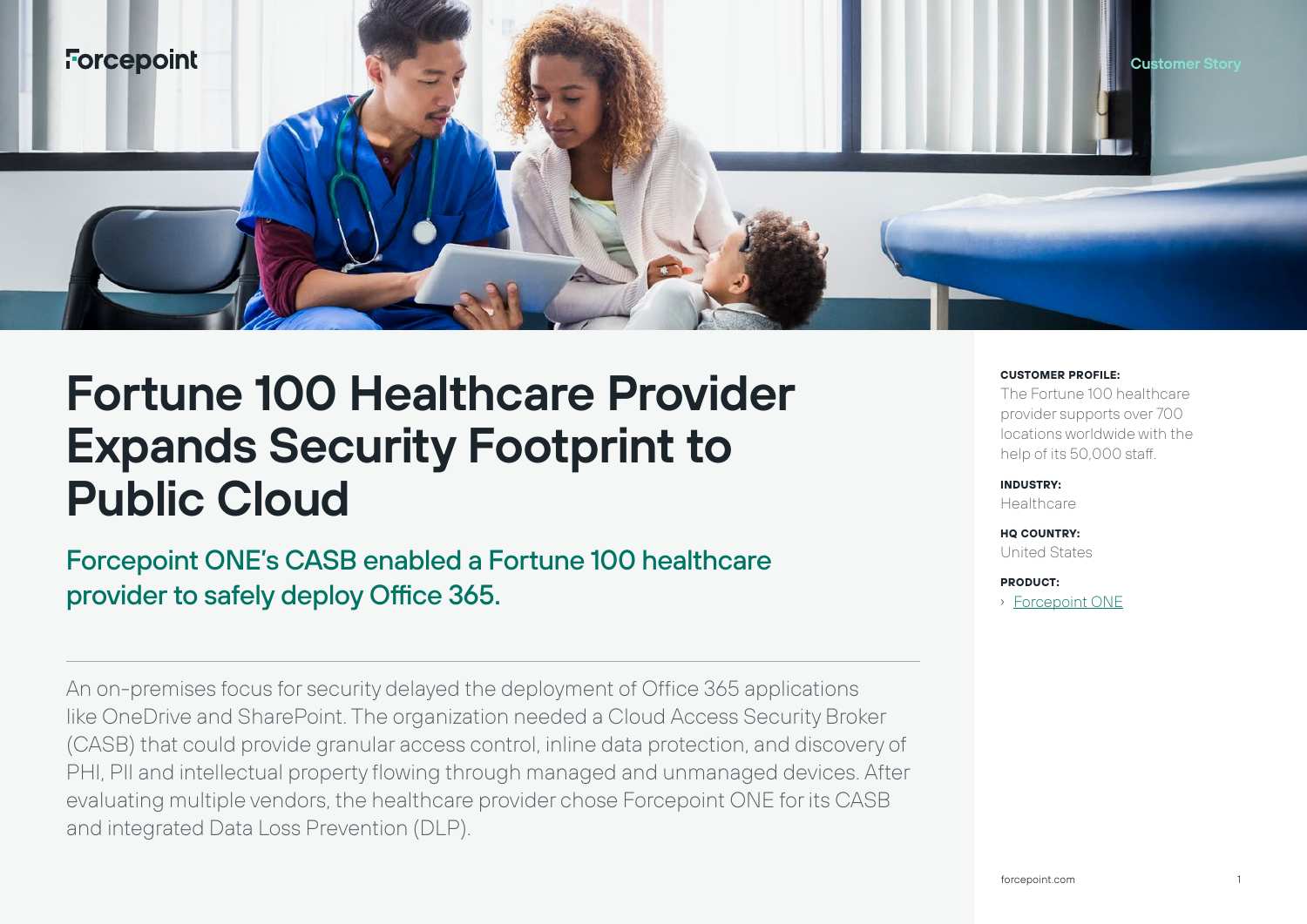

# **Fortune 100 Healthcare Provider Expands Security Footprint to Public Cloud**

Forcepoint ONE's CASB enabled a Fortune 100 healthcare provider to safely deploy Office 365.

An on-premises focus for security delayed the deployment of Office 365 applications like OneDrive and SharePoint. The organization needed a Cloud Access Security Broker (CASB) that could provide granular access control, inline data protection, and discovery of PHI, PII and intellectual property flowing through managed and unmanaged devices. After evaluating multiple vendors, the healthcare provider chose Forcepoint ONE for its CASB and integrated Data Loss Prevention (DLP).

#### **CUSTOMER PROFILE:**

The Fortune 100 healthcare provider supports over 700 locations worldwide with the help of its 50,000 staff.

**INDUSTRY: Healthcare** 

**HQ COUNTRY:** United States

**PRODUCT:**

› [Forcepoint ONE](https://www.forcepoint.com/product/forcepoint-one)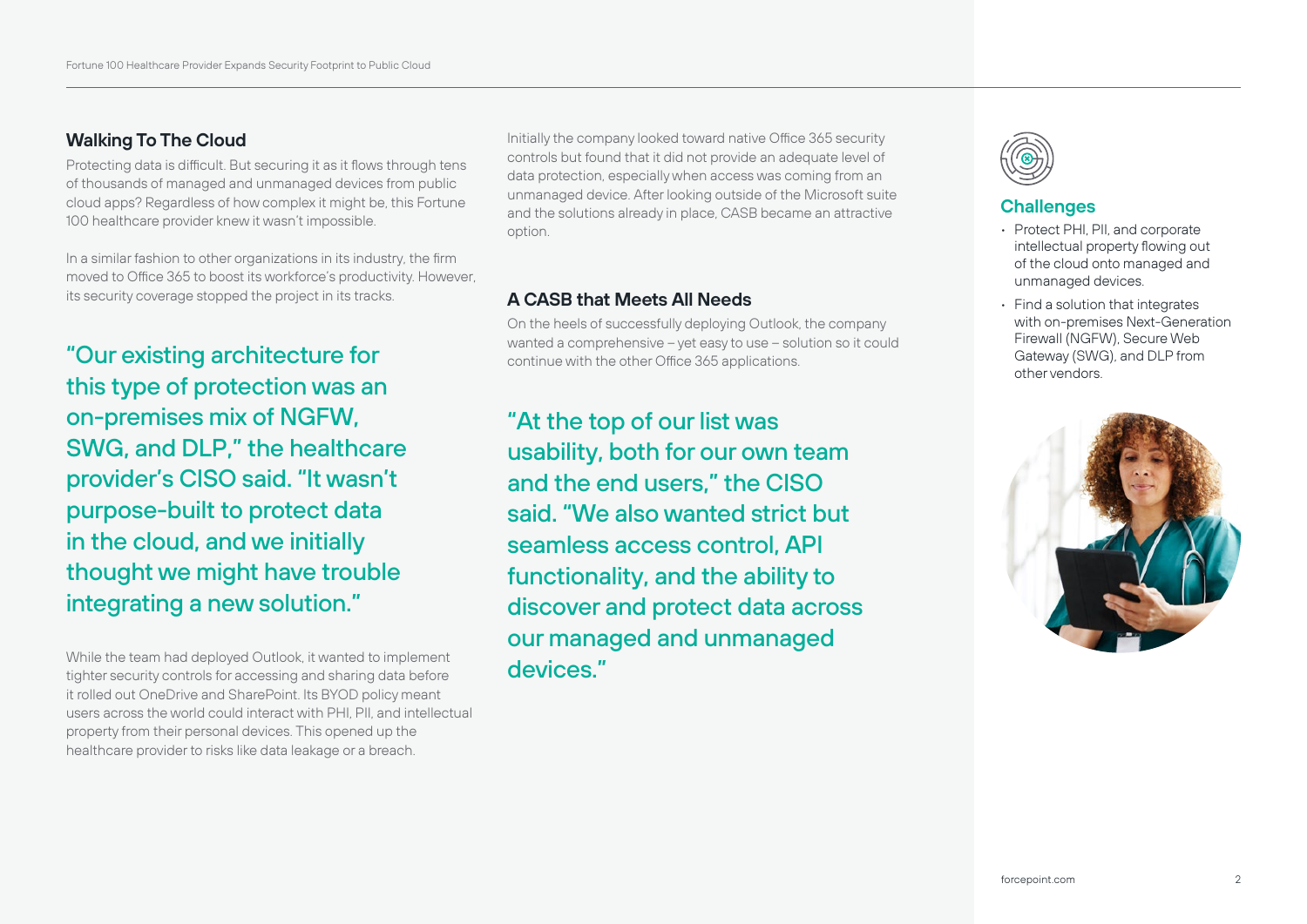# **Walking To The Cloud**

Protecting data is difficult. But securing it as it flows through tens of thousands of managed and unmanaged devices from public cloud apps? Regardless of how complex it might be, this Fortune 100 healthcare provider knew it wasn't impossible.

In a similar fashion to other organizations in its industry, the firm moved to Office 365 to boost its workforce's productivity. However its security coverage stopped the project in its tracks.

"Our existing architecture for this type of protection was an on-premises mix of NGFW, SWG, and DLP," the healthcare provider's CISO said. "It wasn't purpose-built to protect data in the cloud, and we initially thought we might have trouble integrating a new solution."

While the team had deployed Outlook, it wanted to implement tighter security controls for accessing and sharing data before it rolled out OneDrive and SharePoint. Its BYOD policy meant users across the world could interact with PHI, PII, and intellectual property from their personal devices. This opened up the healthcare provider to risks like data leakage or a breach.

Initially the company looked toward native Office 365 security controls but found that it did not provide an adequate level of data protection, especially when access was coming from an unmanaged device. After looking outside of the Microsoft suite and the solutions already in place, CASB became an attractive option.

### **A CASB that Meets All Needs**

On the heels of successfully deploying Outlook, the company wanted a comprehensive – yet easy to use – solution so it could continue with the other Office 365 applications.

"At the top of our list was usability, both for our own team and the end users," the CISO said. "We also wanted strict but seamless access control, API functionality, and the ability to discover and protect data across our managed and unmanaged devices."



# **Challenges**

- Protect PHI, PII, and corporate intellectual property flowing out of the cloud onto managed and unmanaged devices.
- Find a solution that integrates with on-premises Next-Generation Firewall (NGFW), Secure Web Gateway (SWG), and DLP from other vendors.